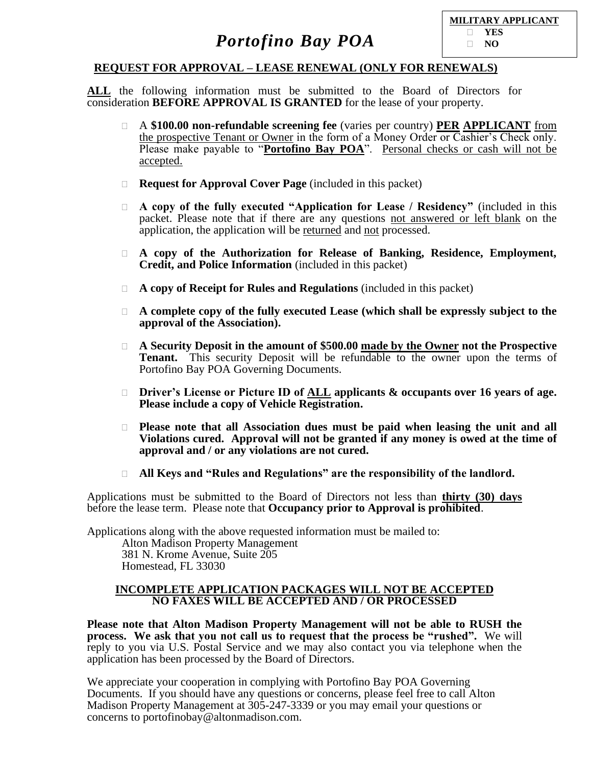

### **REQUEST FOR APPROVAL – LEASE RENEWAL (ONLY FOR RENEWALS)**

**ALL** the following information must be submitted to the Board of Directors for consideration **BEFORE APPROVAL IS GRANTED** for the lease of your property.

- A **\$100.00 non-refundable screening fee** (varies per country) **PER APPLICANT** from the prospective Tenant or Owner in the form of a Money Order or Cashier's Check only. Please make payable to "**Portofino Bay POA**". Personal checks or cash will not be accepted.
- **Request for Approval Cover Page** (included in this packet)
- **A copy of the fully executed "Application for Lease / Residency"** (included in this packet. Please note that if there are any questions not answered or left blank on the application, the application will be returned and not processed.
- **A copy of the Authorization for Release of Banking, Residence, Employment, Credit, and Police Information** (included in this packet)
- **A copy of Receipt for Rules and Regulations** (included in this packet)
- **A complete copy of the fully executed Lease (which shall be expressly subject to the approval of the Association).**
- **A Security Deposit in the amount of \$500.00 made by the Owner not the Prospective Tenant.** This security Deposit will be refundable to the owner upon the terms of Portofino Bay POA Governing Documents.
- **Driver's License or Picture ID of ALL applicants & occupants over 16 years of age. Please include a copy of Vehicle Registration.**
- **Please note that all Association dues must be paid when leasing the unit and all Violations cured. Approval will not be granted if any money is owed at the time of approval and / or any violations are not cured.**
- **All Keys and "Rules and Regulations" are the responsibility of the landlord.**

Applications must be submitted to the Board of Directors not less than **thirty (30) days** before the lease term. Please note that **Occupancy prior to Approval is prohibited**.

Applications along with the above requested information must be mailed to:

Alton Madison Property Management 381 N. Krome Avenue, Suite 205 Homestead, FL 33030

#### **INCOMPLETE APPLICATION PACKAGES WILL NOT BE ACCEPTED NO FAXES WILL BE ACCEPTED AND / OR PROCESSED**

**Please note that Alton Madison Property Management will not be able to RUSH the process. We ask that you not call us to request that the process be "rushed".** We will reply to you via U.S. Postal Service and we may also contact you via telephone when the application has been processed by the Board of Directors.

We appreciate your cooperation in complying with Portofino Bay POA Governing Documents. If you should have any questions or concerns, please feel free to call Alton Madison Property Management at 305-247-3339 or you may email your questions or concerns to portofinobay@altonmadison.com.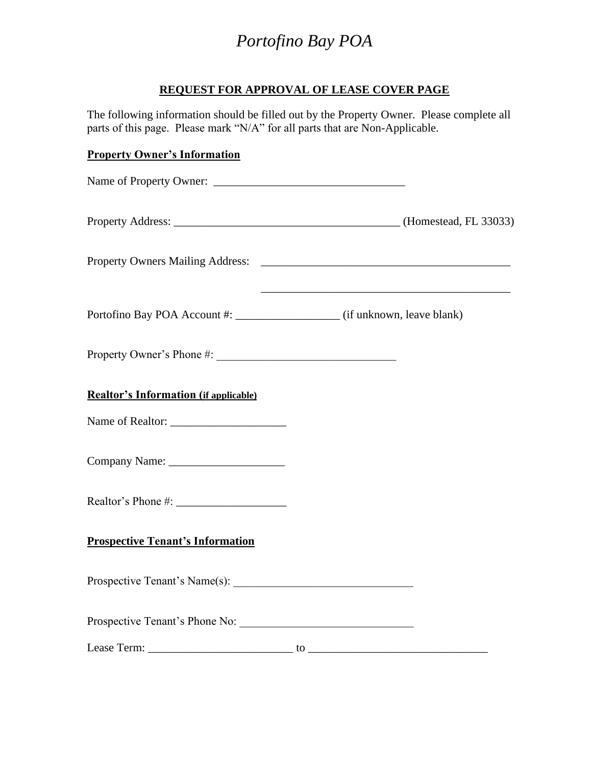### **REQUEST FOR APPROVAL OF LEASE COVER PAGE**

The following information should be filled out by the Property Owner. Please complete all parts of this page. Please mark "N/A" for all parts that are Non-Applicable.

# **Property Owner's Information** Name of Property Owner: Property Address: \_\_\_\_\_\_\_\_\_\_\_\_\_\_\_\_\_\_\_\_\_\_\_\_\_\_\_\_\_\_\_\_\_\_\_\_\_\_\_ (Homestead, FL 33033) Property Owners Mailing Address: \_\_\_\_\_\_\_\_\_\_\_\_\_\_\_\_\_\_\_\_\_\_\_\_\_\_\_\_\_\_\_\_\_\_\_\_\_\_\_\_\_\_\_ Portofino Bay POA Account #:  $\qquad \qquad$  (if unknown, leave blank) Property Owner's Phone #: **Realtor's Information (if applicable)** Name of Realtor: \_\_\_\_\_\_\_\_\_\_\_\_\_\_\_\_\_\_\_\_ Company Name: \_\_\_\_\_\_\_\_\_\_\_\_\_\_\_\_\_\_\_\_ Realtor's Phone #: **Prospective Tenant's Information**  Prospective Tenant's Name $(s)$ : Prospective Tenant's Phone No: Lease Term: \_\_\_\_\_\_\_\_\_\_\_\_\_\_\_\_\_\_\_\_\_\_\_\_\_ to \_\_\_\_\_\_\_\_\_\_\_\_\_\_\_\_\_\_\_\_\_\_\_\_\_\_\_\_\_\_\_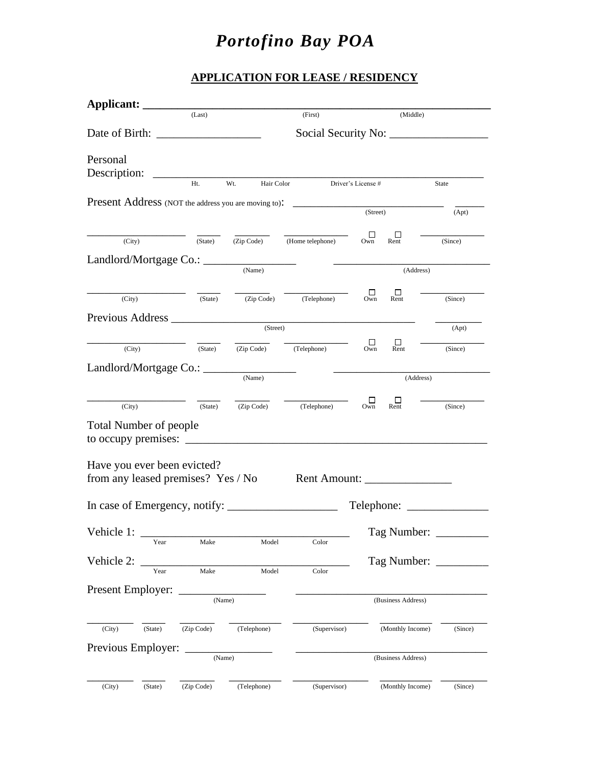### **APPLICATION FOR LEASE / RESIDENCY**

| Applicant:                    |         |                                    |             |                                                                      |                    |                    |                        |
|-------------------------------|---------|------------------------------------|-------------|----------------------------------------------------------------------|--------------------|--------------------|------------------------|
|                               |         | (Last)                             |             | (First)                                                              |                    | (Middle)           |                        |
|                               |         |                                    |             |                                                                      |                    |                    |                        |
| Personal<br>Description:      |         |                                    |             |                                                                      |                    |                    |                        |
|                               |         | Ht.                                | Wt.         | Hair Color Driver's License #                                        |                    |                    | State                  |
|                               |         |                                    |             | <b>Present Address</b> (NOT the address you are moving to):          | (Street)           |                    | (Apt)                  |
|                               |         |                                    |             |                                                                      |                    |                    |                        |
| (City)                        |         | (State)                            |             | (Zip Code) (Home telephone)                                          | □<br>Own           | ப<br>Rent          | (Since)                |
|                               |         |                                    |             |                                                                      |                    |                    |                        |
|                               |         |                                    | (Name)      |                                                                      |                    | (Address)          |                        |
|                               |         |                                    |             |                                                                      | П                  | □                  |                        |
| (City)                        |         | (State)                            | (Zip Code)  | (Telephone)                                                          | Own                | Rent               | (Since)                |
|                               |         |                                    | (Street)    |                                                                      |                    |                    | (Apt)                  |
|                               |         |                                    |             |                                                                      | □                  | □                  |                        |
| (City)                        |         | (State)                            | (Zip Code)  | (Telephone)                                                          | Own                | Rent               | (Since)                |
| Landlord/Mortgage Co.: ____   |         |                                    | (Name)      |                                                                      |                    | (Address)          |                        |
|                               |         |                                    |             |                                                                      |                    |                    |                        |
| (City)                        |         | (State)                            |             | (Zip Code) (Telephone)                                               | ப<br>Own           | Ш<br>Rent          | (Since)                |
| <b>Total Number of people</b> |         |                                    |             |                                                                      |                    |                    |                        |
| to occupy premises: $\_\_$    |         |                                    |             | <u> 1980 - Johann Barbara, martin da kasar Amerikaansk politik (</u> |                    |                    |                        |
|                               |         | Have you ever been evicted?        |             |                                                                      |                    |                    |                        |
|                               |         | from any leased premises? Yes / No |             | Rent Amount: ________________                                        |                    |                    |                        |
|                               |         |                                    |             |                                                                      |                    |                    |                        |
|                               |         |                                    |             |                                                                      |                    |                    |                        |
| Vehicle 1:                    | Year    | Make                               | Model       | Color                                                                |                    |                    | Tag Number: __________ |
|                               |         |                                    |             |                                                                      |                    |                    |                        |
| Vehicle 2:                    | Year    | Make                               | Model       | Color                                                                |                    |                    | Tag Number:            |
|                               |         |                                    |             |                                                                      |                    |                    |                        |
| Present Employer:             |         |                                    | (Name)      |                                                                      | (Business Address) |                    |                        |
|                               |         |                                    |             |                                                                      |                    |                    |                        |
| (City)                        | (State) | (Zip Code)                         | (Telephone) | (Supervisor)                                                         |                    | (Monthly Income)   | (Since)                |
| Previous Employer:            |         | (Name)                             |             |                                                                      |                    | (Business Address) |                        |
|                               |         |                                    |             |                                                                      |                    |                    |                        |
| (City)                        | (State) | (Zip Code)                         | (Telephone) | (Supervisor)                                                         |                    | (Monthly Income)   | (Since)                |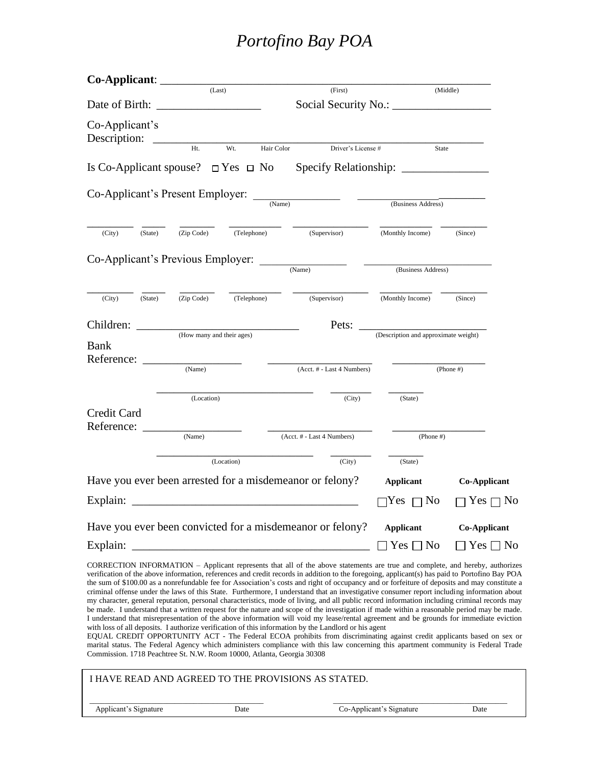|                                  |                                                   |                           | (First)                                                                                                                                                                                                                                                                                                                                                                                                                                                                                                                                                                                                                                                                                                                                                                                                                                                                   |                                      |                            |  |
|----------------------------------|---------------------------------------------------|---------------------------|---------------------------------------------------------------------------------------------------------------------------------------------------------------------------------------------------------------------------------------------------------------------------------------------------------------------------------------------------------------------------------------------------------------------------------------------------------------------------------------------------------------------------------------------------------------------------------------------------------------------------------------------------------------------------------------------------------------------------------------------------------------------------------------------------------------------------------------------------------------------------|--------------------------------------|----------------------------|--|
|                                  | (Last)                                            |                           |                                                                                                                                                                                                                                                                                                                                                                                                                                                                                                                                                                                                                                                                                                                                                                                                                                                                           |                                      | (Middle)                   |  |
| Co-Applicant's<br>Description:   |                                                   |                           |                                                                                                                                                                                                                                                                                                                                                                                                                                                                                                                                                                                                                                                                                                                                                                                                                                                                           |                                      |                            |  |
|                                  | Ht.                                               | Wt.<br>Hair Color         | Driver's License #                                                                                                                                                                                                                                                                                                                                                                                                                                                                                                                                                                                                                                                                                                                                                                                                                                                        | State                                |                            |  |
|                                  |                                                   |                           |                                                                                                                                                                                                                                                                                                                                                                                                                                                                                                                                                                                                                                                                                                                                                                                                                                                                           |                                      |                            |  |
| Co-Applicant's Present Employer: |                                                   |                           | $\frac{1}{(Name)}$                                                                                                                                                                                                                                                                                                                                                                                                                                                                                                                                                                                                                                                                                                                                                                                                                                                        | (Business Address)                   |                            |  |
|                                  |                                                   |                           |                                                                                                                                                                                                                                                                                                                                                                                                                                                                                                                                                                                                                                                                                                                                                                                                                                                                           |                                      |                            |  |
| (City)<br>(State)                | (Zip Code)                                        | (Telephone)               | (Supervisor)                                                                                                                                                                                                                                                                                                                                                                                                                                                                                                                                                                                                                                                                                                                                                                                                                                                              | (Monthly Income)                     | (Since)                    |  |
|                                  |                                                   |                           |                                                                                                                                                                                                                                                                                                                                                                                                                                                                                                                                                                                                                                                                                                                                                                                                                                                                           |                                      |                            |  |
|                                  | Co-Applicant's Previous Employer: <u>COMANDER</u> |                           |                                                                                                                                                                                                                                                                                                                                                                                                                                                                                                                                                                                                                                                                                                                                                                                                                                                                           | (Business Address)                   |                            |  |
| (City)<br>(State)                | (Zip Code)                                        | (Telephone)               | (Supervisor)                                                                                                                                                                                                                                                                                                                                                                                                                                                                                                                                                                                                                                                                                                                                                                                                                                                              | (Monthly Income)                     | (Since)                    |  |
| Children:                        |                                                   |                           | Pets:                                                                                                                                                                                                                                                                                                                                                                                                                                                                                                                                                                                                                                                                                                                                                                                                                                                                     |                                      |                            |  |
| <b>Bank</b>                      |                                                   | (How many and their ages) |                                                                                                                                                                                                                                                                                                                                                                                                                                                                                                                                                                                                                                                                                                                                                                                                                                                                           | (Description and approximate weight) |                            |  |
| Reference:                       | (Name)                                            |                           | (Acct. # - Last 4 Numbers)                                                                                                                                                                                                                                                                                                                                                                                                                                                                                                                                                                                                                                                                                                                                                                                                                                                |                                      | $(Phone \#)$               |  |
|                                  | (Location)                                        |                           | (City)                                                                                                                                                                                                                                                                                                                                                                                                                                                                                                                                                                                                                                                                                                                                                                                                                                                                    | (State)                              |                            |  |
| Credit Card<br>Reference:        |                                                   |                           |                                                                                                                                                                                                                                                                                                                                                                                                                                                                                                                                                                                                                                                                                                                                                                                                                                                                           |                                      |                            |  |
|                                  | (Name)                                            |                           | (Acct. # - Last 4 Numbers)                                                                                                                                                                                                                                                                                                                                                                                                                                                                                                                                                                                                                                                                                                                                                                                                                                                | (Phone  #)                           |                            |  |
|                                  |                                                   | (Location)                | (City)                                                                                                                                                                                                                                                                                                                                                                                                                                                                                                                                                                                                                                                                                                                                                                                                                                                                    | (State)                              |                            |  |
|                                  |                                                   |                           | Have you ever been arrested for a misdemeanor or felony?                                                                                                                                                                                                                                                                                                                                                                                                                                                                                                                                                                                                                                                                                                                                                                                                                  | <b>Applicant</b>                     | <b>Co-Applicant</b>        |  |
| Explain:                         |                                                   |                           |                                                                                                                                                                                                                                                                                                                                                                                                                                                                                                                                                                                                                                                                                                                                                                                                                                                                           | No<br>Yes                            | Yes [<br>∩ No              |  |
|                                  |                                                   |                           | Have you ever been convicted for a misdemeanor or felony?                                                                                                                                                                                                                                                                                                                                                                                                                                                                                                                                                                                                                                                                                                                                                                                                                 | <b>Applicant</b>                     | <b>Co-Applicant</b>        |  |
| Explain:                         |                                                   |                           |                                                                                                                                                                                                                                                                                                                                                                                                                                                                                                                                                                                                                                                                                                                                                                                                                                                                           | $\Box$ Yes $\Box$ No                 | $\square$ Yes $\square$ No |  |
|                                  |                                                   |                           | CORRECTION INFORMATION – Applicant represents that all of the above statements are true and complete, and hereby, authorizes<br>verification of the above information, references and credit records in addition to the foregoing, applicant(s) has paid to Portofino Bay POA<br>the sum of \$100.00 as a nonrefundable fee for Association's costs and right of occupancy and or forfeiture of deposits and may constitute a<br>criminal offense under the laws of this State. Furthermore, I understand that an investigative consumer report including information about<br>my character, general reputation, personal characteristics, mode of living, and all public record information including criminal records may<br>be made. I understand that a written request for the nature and scope of the investigation if made within a reasonable period may be made. |                                      |                            |  |

with loss of all deposits. I authorize verification of this information by the Landlord or his agent EQUAL CREDIT OPPORTUNITY ACT - The Federal ECOA prohibits from discriminating against credit applicants based on sex or marital status. The Federal Agency which administers compliance with this law concerning this apartment community is Federal Trade Commission. 1718 Peachtree St. N.W. Room 10000, Atlanta, Georgia 30308

I understand that misrepresentation of the above information will void my lease/rental agreement and be grounds for immediate eviction

| I HAVE READ AND AGREED TO THE PROVISIONS AS STATED. |                          |      |  |  |  |  |  |  |  |
|-----------------------------------------------------|--------------------------|------|--|--|--|--|--|--|--|
| Applicant's Signature<br>Date                       | Co-Applicant's Signature | Date |  |  |  |  |  |  |  |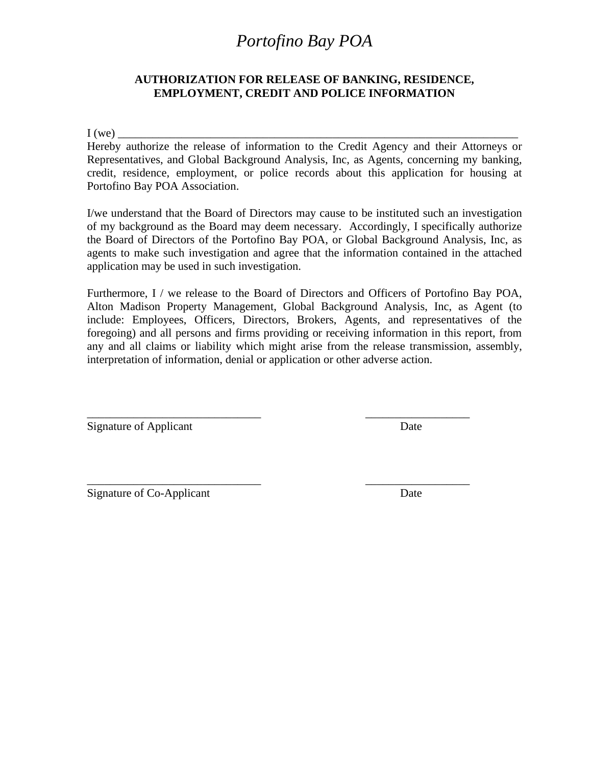### **AUTHORIZATION FOR RELEASE OF BANKING, RESIDENCE, EMPLOYMENT, CREDIT AND POLICE INFORMATION**

 $I(we)$ 

Hereby authorize the release of information to the Credit Agency and their Attorneys or Representatives, and Global Background Analysis, Inc, as Agents, concerning my banking, credit, residence, employment, or police records about this application for housing at Portofino Bay POA Association.

I/we understand that the Board of Directors may cause to be instituted such an investigation of my background as the Board may deem necessary. Accordingly, I specifically authorize the Board of Directors of the Portofino Bay POA, or Global Background Analysis, Inc, as agents to make such investigation and agree that the information contained in the attached application may be used in such investigation.

Furthermore, I / we release to the Board of Directors and Officers of Portofino Bay POA, Alton Madison Property Management, Global Background Analysis, Inc, as Agent (to include: Employees, Officers, Directors, Brokers, Agents, and representatives of the foregoing) and all persons and firms providing or receiving information in this report, from any and all claims or liability which might arise from the release transmission, assembly, interpretation of information, denial or application or other adverse action.

\_\_\_\_\_\_\_\_\_\_\_\_\_\_\_\_\_\_\_\_\_\_\_\_\_\_\_\_\_\_ \_\_\_\_\_\_\_\_\_\_\_\_\_\_\_\_\_\_

\_\_\_\_\_\_\_\_\_\_\_\_\_\_\_\_\_\_\_\_\_\_\_\_\_\_\_\_\_\_ \_\_\_\_\_\_\_\_\_\_\_\_\_\_\_\_\_\_

Signature of Applicant Date

Signature of Co-Applicant Date